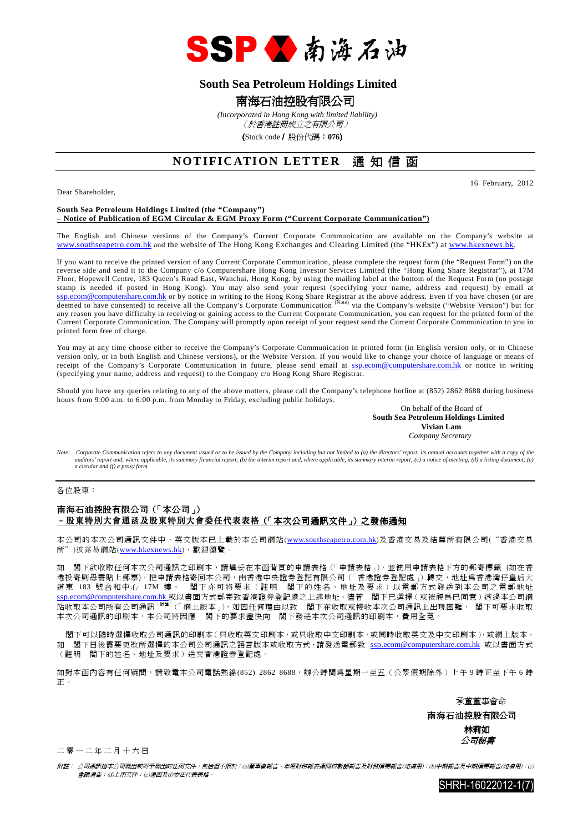

## **South Sea Petroleum Holdings Limited**

## 南海石油控股有限公司

 *(Incorporated in Hong Kong with limited liability)*

(於香港註冊成立之有限公司)

(Stock code/ 股份代碼:**076**)

## **NOTIFICATION LETTER** 通知信函

Dear Shareholder,

16 February, 2012

#### **South Sea Petroleum Holdings Limited (the "Company") – Notice of Publication of EGM Circular & EGM Proxy Form ("Current Corporate Communication")**

The English and Chinese versions of the Company's Current Corporate Communication are available on the Company's website at www.southseapetro.com.hk and the website of The Hong Kong Exchanges and Clearing Limited (the "HKEx") at www.hkexnews.hk.

If you want to receive the printed version of any Current Corporate Communication, please complete the request form (the "Request Form") on the reverse side and send it to the Company c/o Computershare Hong Kong Investor Services Limited (the "Hong Kong Share Registrar"), at 17M Floor, Hopewell Centre, 183 Queen's Road East, Wanchai, Hong Kong, by using the mailing label at the bottom of the Request Form (no postage stamp is needed if posted in Hong Kong). You may also send your request (specifying your name, address and request) by email at ssp.ecom@computershare.com.hk or by notice in writing to the Hong Kong Share Registrar at the above address. Even if you have chosen (or are<br>deemed to have consented) to receive all the Company's Corporate Communication <sup>(</sup> any reason you have difficulty in receiving or gaining access to the Current Corporate Communication, you can request for the printed form of the any reason you have difficulty in receiving or gaining access to the Current Current Corporate Communication. The Company will promptly upon receipt of your request send the Current Corporate Communication to you in printed form free of charge.

You may at any time choose either to receive the Company's Corporate Communication in printed form (in English version only, or in Chinese version only, or in both English and Chinese versions), or the Website Version. If you would like to change your choice of language or means of receipt of the Company's Corporate Communication in future, please send email at ssp.ecom@computershare.com.hk or notice in writing (specifying your name, address and request) to the Company c/o Hong Kong Share Registrar.

Should you have any queries relating to any of the above matters, please call the Company's telephone hotline at (852) 2862 8688 during business hours from 9:00 a.m. to 6:00 p.m. from Monday to Friday, excluding public holidays.

On behalf of the Board of  **South Sea Petroleum Holdings Limited Vivian Lam**  *Company Secretary* 

*Note: Corporate Communication refers to any document issued or to be issued by the Company including but not limited to (a) the directors' report, its annual accounts together with a copy of the auditors' report and, where applicable, its summary financial report; (b) the interim report and, where applicable, its summary interim report; (c) a notice of meeting; (d) a listing document; (e) a circular and (f) a proxy form.* 

各位股東:

### 南海石油控股有限公司(「本公司」) –股東特別大會通函及股東特別大會委任代表表格(「本次公司通訊文件」)之發佈通知

本公司的本次公司通訊文件中、英文版本已上載於本公司網站(www.southseapetro.com.hk)及香港交易及結算所有限公司("香港交易 所")披露易網站(www.hkexnews.hk),歡迎瀏覽。

如 閣下欲收取任何本次公司通訊之印刷本,請填妥在本函背頁的申請表格(「申請表格」),並使用申請表格下方的郵寄標籤 (如在香 港投寄則毋需貼上郵票),把申請表格寄回本公司,由香港中央證券登記有限公司(「香港證券登記處」)轉交,地址為香港灣仔皇后大 道東 183 號合和中心 17M 樓。 閣下亦可將要求(註明 閣下的姓名、地址及要求)以電郵方式發送到本公司之電郵地址 ssp.ecom@computershare.com.hk 或以書面方式郵寄致香港證券登記處之上述地址。儘管 閣下已選擇(或被視為已同意)透過本公司網 站收取本公司所有公司通訊( 附 註 )(「網上版本」),如因任何理由以致 閣下在收取或接收本次公司通訊上出現困難, 閣下可要求收取 本次公司通訊的印刷本,本公司將因應 閣下的要求盡快向 閣下發送本次公司通訊的印刷本,費用全免。

 閣下可以隨時選擇收取公司通訊的印刷本(只收取英文印刷本,或只收取中文印刷本,或同時收取英文及中文印刷本),或網上版本。 如 閣下日後需要更改所選擇的本公司公司通訊之語言版本或收取方式,請發送電郵致 ssp.ecom@computershare.com.hk 或以書面方式 (註明 閣下的姓名、地址及要求)送交香港證券登記處。

如對本函內容有任何疑問,請致電本公司電話熱線(852) 2862 8688,辦公時間為星期一至五(公眾假期除外)上午 9 時正至下午 6 時 正。

承董董事會命

 南海石油控股有限公司 林莉如 公司秘書

二零一二年二月十六日

附註: 公司通訊指本公司發出或將予發出的任何文件,包括但不限於:(a)董事會報告、年度財務報表連同核數師報告及財務摘要報告(如適用);(b)中期報告及中期摘要報告(如適用);(c) 會議通告;(d)上市文件;(e)通函及(f)委任代表表格。